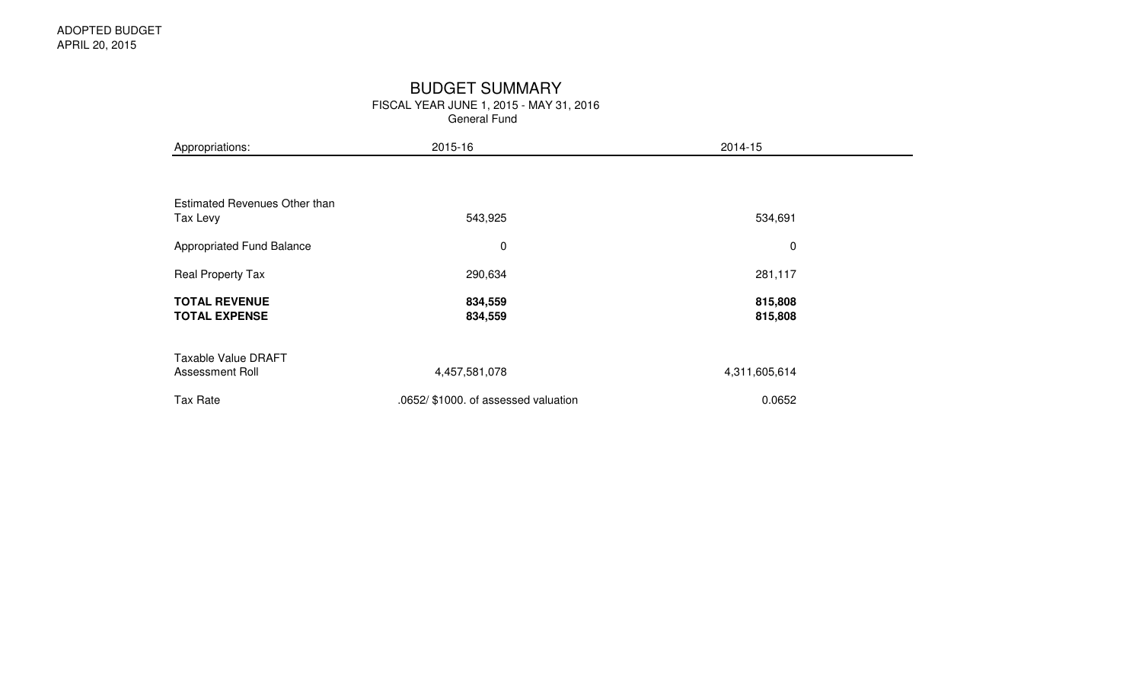### BUDGET SUMMARY

FISCAL YEAR JUNE 1, 2015 - MAY 31, 2016

General Fund

| Appropriations:                                  | 2015-16                              | 2014-15            |  |
|--------------------------------------------------|--------------------------------------|--------------------|--|
|                                                  |                                      |                    |  |
| <b>Estimated Revenues Other than</b><br>Tax Levy | 543,925                              | 534,691            |  |
| Appropriated Fund Balance                        | 0                                    | $\mathbf 0$        |  |
| Real Property Tax                                | 290,634                              | 281,117            |  |
| <b>TOTAL REVENUE</b><br><b>TOTAL EXPENSE</b>     | 834,559<br>834,559                   | 815,808<br>815,808 |  |
| <b>Taxable Value DRAFT</b><br>Assessment Roll    | 4,457,581,078                        | 4,311,605,614      |  |
| Tax Rate                                         | .0652/ \$1000. of assessed valuation | 0.0652             |  |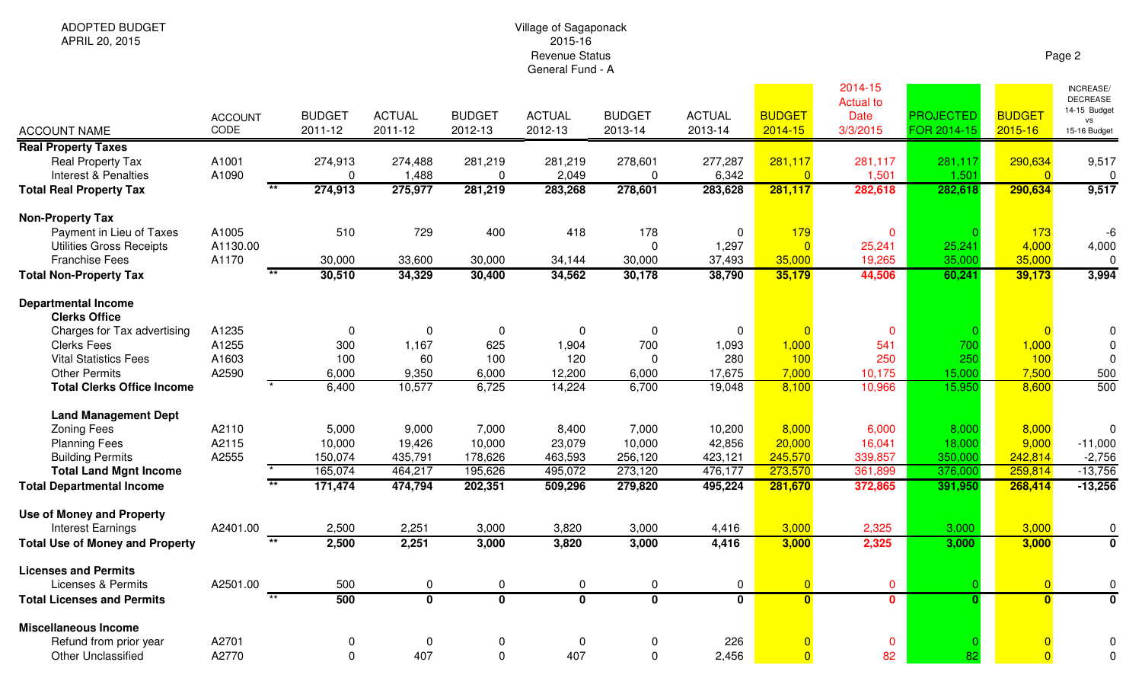## Village of Sagaponack 2015-16 Revenue StatusGeneral Fund - A

| <b>ACCOUNT NAME</b>                                | <b>ACCOUNT</b><br>CODE | <b>BUDGET</b><br>2011-12 | <b>ACTUAL</b><br>2011-12 | <b>BUDGET</b><br>2012-13 | <b>ACTUAL</b><br>2012-13 | <b>BUDGET</b><br>2013-14 | <b>ACTUAL</b><br>2013-14 | <b>BUDGET</b><br>$2014 - 15$ | 2014-15<br><b>Actual to</b><br><b>Date</b><br>3/3/2015 | <b>PROJECTED</b><br>FOR 2014-15 | <b>BUDGET</b><br>2015-16  | <b>INCREASE/</b><br><b>DECREASE</b><br>14-15 Budget<br>vs<br>15-16 Budget |
|----------------------------------------------------|------------------------|--------------------------|--------------------------|--------------------------|--------------------------|--------------------------|--------------------------|------------------------------|--------------------------------------------------------|---------------------------------|---------------------------|---------------------------------------------------------------------------|
| <b>Real Property Taxes</b>                         |                        |                          |                          |                          |                          |                          |                          |                              |                                                        |                                 |                           |                                                                           |
| <b>Real Property Tax</b><br>Interest & Penalties   | A1001<br>A1090         | 274,913<br>$\Omega$      | 274,488<br>1,488         | 281,219<br>$\mathbf 0$   | 281,219<br>2,049         | 278,601<br>$\mathbf 0$   | 277,287<br>6,342         | 281,117<br>$\overline{0}$    | 281,117<br>1,501                                       | 281,117<br>1,501                | 290,634<br>$\overline{0}$ | 9,517<br>$\Omega$                                                         |
| <b>Total Real Property Tax</b>                     |                        | 274,913                  | 275,977                  | 281,219                  | 283,268                  | 278,601                  | 283,628                  | 281,117                      | 282,618                                                | 282,618                         | 290,634                   | 9,517                                                                     |
| <b>Non-Property Tax</b>                            |                        |                          |                          |                          |                          |                          |                          |                              |                                                        |                                 |                           |                                                                           |
| Payment in Lieu of Taxes                           | A1005                  | 510                      | 729                      | 400                      | 418                      | 178                      | 0                        | 179                          | $\mathbf 0$                                            |                                 | 173                       | -6                                                                        |
| <b>Utilities Gross Receipts</b>                    | A1130.00               |                          |                          |                          |                          | $\mathbf 0$              | 1,297                    | $\Omega$                     | 25,241                                                 | 25,241                          | 4,000                     | 4,000                                                                     |
| <b>Franchise Fees</b>                              | A1170                  | 30,000                   | 33,600                   | 30,000                   | 34,144                   | 30,000                   | 37,493                   | 35,000                       | 19,265                                                 | 35,000                          | 35,000                    | $\overline{0}$                                                            |
| <b>Total Non-Property Tax</b>                      | $\star\star$           | 30,510                   | 34,329                   | 30,400                   | 34,562                   | 30,178                   | 38,790                   | 35,179                       | 44,506                                                 | 60,241                          | 39,173                    | 3,994                                                                     |
| <b>Departmental Income</b><br><b>Clerks Office</b> |                        |                          |                          |                          |                          |                          |                          |                              |                                                        |                                 |                           |                                                                           |
| Charges for Tax advertising                        | A1235                  | 0                        | $\Omega$                 | 0                        | $\Omega$                 | $\Omega$                 | $\mathbf 0$              |                              | $\mathbf 0$                                            |                                 |                           |                                                                           |
| <b>Clerks Fees</b>                                 | A1255                  | 300                      | 1,167                    | 625                      | 1,904                    | 700                      | 1,093                    | 1,000                        | 541                                                    | 700                             | 1,000                     | $\Omega$                                                                  |
| <b>Vital Statistics Fees</b>                       | A1603                  | 100                      | 60                       | 100                      | 120                      | $\mathbf 0$              | 280                      | 100                          | 250                                                    | 250                             | 100                       | $\Omega$                                                                  |
| <b>Other Permits</b>                               | A2590                  | 6,000                    | 9,350                    | 6,000                    | 12,200                   | 6,000                    | 17,675                   | 7,000                        | 10,175                                                 | 15,000                          | 7,500                     | 500                                                                       |
| <b>Total Clerks Office Income</b>                  |                        | 6,400                    | 10,577                   | 6,725                    | 14,224                   | 6,700                    | 19,048                   | 8,100                        | 10,966                                                 | 15,950                          | 8,600                     | 500                                                                       |
| <b>Land Management Dept</b>                        |                        |                          |                          |                          |                          |                          |                          |                              |                                                        |                                 |                           |                                                                           |
| <b>Zoning Fees</b>                                 | A2110                  | 5,000                    | 9,000                    | 7,000                    | 8,400                    | 7,000                    | 10,200                   | 8,000                        | 6,000                                                  | 8,000                           | 8,000                     | $\Omega$                                                                  |
| <b>Planning Fees</b>                               | A2115                  | 10,000                   | 19,426                   | 10,000                   | 23,079                   | 10,000                   | 42,856                   | 20,000                       | 16,041                                                 | 18,000                          | 9,000                     | $-11,000$                                                                 |
| <b>Building Permits</b>                            | A2555                  | 150,074                  | 435,791                  | 178,626                  | 463,593                  | 256,120                  | 423,121                  | 245,570                      | 339,857                                                | 350,000                         | 242,814                   | $-2,756$                                                                  |
| <b>Total Land Mgnt Income</b>                      |                        | 165,074                  | 464,217                  | 195,626                  | 495,072                  | 273,120                  | 476,177                  | 273,570                      | 361,899                                                | 376,000                         | 259,814                   | $-13,756$                                                                 |
| <b>Total Departmental Income</b>                   |                        | 171,474                  | 474,794                  | 202,351                  | 509,296                  | 279,820                  | 495,224                  | 281,670                      | 372,865                                                | 391,950                         | 268,414                   | $-13,256$                                                                 |
| <b>Use of Money and Property</b>                   |                        |                          |                          |                          |                          |                          |                          |                              |                                                        |                                 |                           |                                                                           |
| <b>Interest Earnings</b>                           | A2401.00               | 2,500                    | 2,251                    | 3,000                    | 3,820                    | 3,000                    | 4,416                    | 3,000                        | 2,325                                                  | 3,000                           | 3,000                     | $\mathbf 0$                                                               |
| <b>Total Use of Money and Property</b>             | $\star\star$           | 2,500                    | 2,251                    | 3,000                    | 3,820                    | 3,000                    | 4,416                    | 3,000                        | 2,325                                                  | 3,000                           | 3,000                     | $\overline{\mathbf{0}}$                                                   |
| <b>Licenses and Permits</b>                        |                        |                          |                          |                          |                          |                          |                          |                              |                                                        |                                 |                           |                                                                           |
| <b>Licenses &amp; Permits</b>                      | A2501.00               | 500                      | $\pmb{0}$                | $\mathbf 0$              | $\mathbf 0$              | $\mathbf 0$              | $\mathbf 0$              | $\overline{0}$               | $\overline{0}$                                         |                                 | $\overline{0}$            | 0                                                                         |
| <b>Total Licenses and Permits</b>                  | $\overline{1}$         | 500                      | $\overline{\mathbf{0}}$  | $\overline{\mathbf{0}}$  | $\overline{\mathbf{0}}$  | $\overline{\mathbf{0}}$  | $\mathbf{0}$             | $\mathbf{0}$                 | $\mathbf{0}$                                           | $\Omega$                        | $\mathbf{0}$              | $\Omega$                                                                  |
| <b>Miscellaneous Income</b>                        |                        |                          |                          |                          |                          |                          |                          |                              |                                                        |                                 |                           |                                                                           |
| Refund from prior year                             | A2701                  | 0                        | $\Omega$                 | 0                        | $\mathbf 0$              | 0                        | 226                      | $\overline{0}$               | $\mathbf 0$                                            |                                 |                           |                                                                           |
| <b>Other Unclassified</b>                          | A2770                  | $\Omega$                 | 407                      | 0                        | 407                      | $\Omega$                 | 2,456                    | $\overline{0}$               | 82                                                     | 82                              | $\overline{0}$            | $\Omega$                                                                  |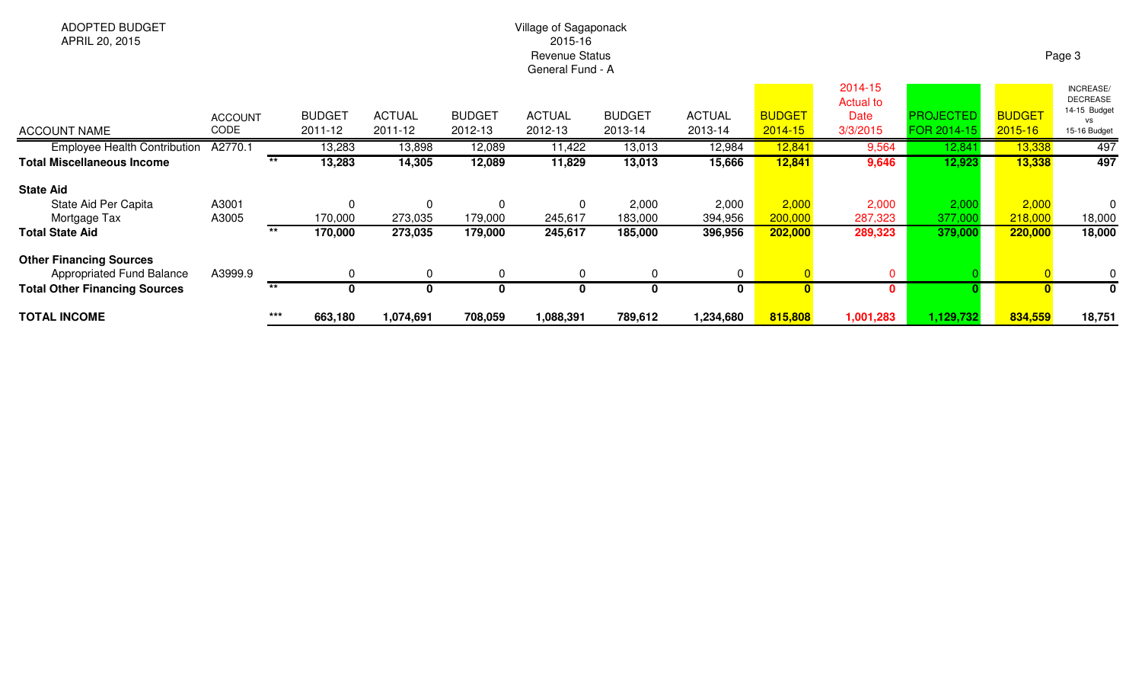# Village of Sagaponack 2015-16 Revenue StatusGeneral Fund - A

| <b>TOTAL INCOME</b>                                         |                        | $***$ | 663,180                  | 1,074,691                | 708,059                  | 1,088,391                | 789,612                  | 1,234,680                | 815,808                      | 1,001,283            | 1,129,732                       | 834,559                  | 18,751                       |
|-------------------------------------------------------------|------------------------|-------|--------------------------|--------------------------|--------------------------|--------------------------|--------------------------|--------------------------|------------------------------|----------------------|---------------------------------|--------------------------|------------------------------|
| <b>Total Other Financing Sources</b>                        |                        | $***$ |                          |                          |                          |                          | 0                        |                          |                              | $\mathbf{0}$         |                                 |                          | 0                            |
| <b>Other Financing Sources</b><br>Appropriated Fund Balance | A3999.9                |       |                          |                          |                          |                          | $\Omega$                 | 0                        |                              | 0                    |                                 |                          | 0                            |
| <b>Total State Aid</b>                                      |                        | $***$ | 170,000                  | 273,035                  | 179,000                  | 245,617                  | 185,000                  | 396,956                  | 202,000                      | 289,323              | 379,000                         | 220,000                  | 18,000                       |
| Mortgage Tax                                                | A3005                  |       | 170,000                  | 273,035                  | 179,000                  | 245,617                  | 183,000                  | 394,956                  | 200,000                      | 287,323              | 377,000                         | 218,000                  | 18,000                       |
| <b>State Aid</b><br>State Aid Per Capita                    | A3001                  |       | $\Omega$                 |                          | $\Omega$                 |                          | 2,000                    | 2,000                    | 2,000                        | 2,000                | 2,000                           | 2,000                    | 0                            |
| <b>Total Miscellaneous Income</b>                           |                        | $***$ | 13,283                   | 14,305                   | 12,089                   | 11,829                   | 13,013                   | 15,666                   | 12,841                       | 9,646                | 12,923                          | 13,338                   | 497                          |
| <b>Employee Health Contribution</b>                         | A2770.1                |       | 13,283                   | 13,898                   | 12,089                   | 11,422                   | 13,013                   | 12,984                   | 12,841                       | 9,564                | 12,841                          | 13,338                   | 497                          |
| <b>ACCOUNT NAME</b>                                         | <b>ACCOUNT</b><br>CODE |       | <b>BUDGET</b><br>2011-12 | <b>ACTUAL</b><br>2011-12 | <b>BUDGET</b><br>2012-13 | <b>ACTUAL</b><br>2012-13 | <b>BUDGET</b><br>2013-14 | <b>ACTUAL</b><br>2013-14 | <b>BUDGET</b><br>$2014 - 15$ | Date<br>3/3/2015     | <b>PROJECTED</b><br>FOR 2014-15 | <b>BUDGET</b><br>2015-16 | 14-15 Budget<br>15-16 Budget |
|                                                             |                        |       |                          |                          |                          |                          |                          |                          |                              | 2014-15<br>Actual to |                                 |                          | INCREASE/<br><b>DECREASE</b> |

#### Page 3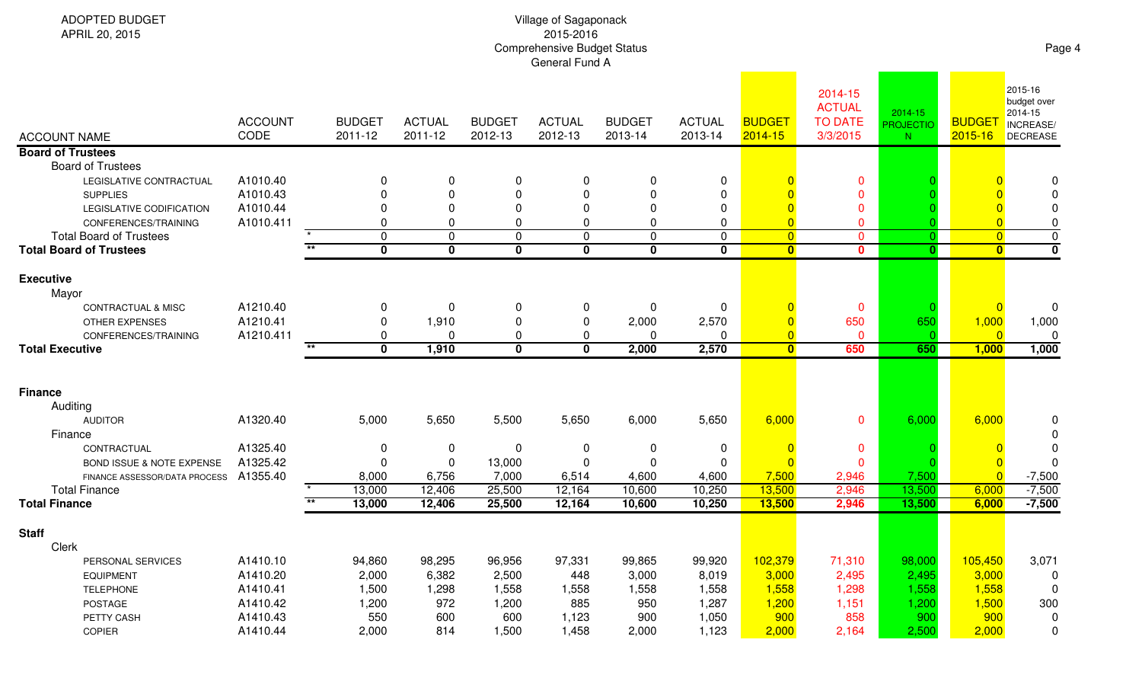| <b>ADOPTED BUDGET</b><br>APRIL 20, 2015                |                        |                             |                          |                          | Page 4                   |                            |                          |                                  |                                                        |                                   |                              |                                                                   |
|--------------------------------------------------------|------------------------|-----------------------------|--------------------------|--------------------------|--------------------------|----------------------------|--------------------------|----------------------------------|--------------------------------------------------------|-----------------------------------|------------------------------|-------------------------------------------------------------------|
| <b>ACCOUNT NAME</b>                                    | <b>ACCOUNT</b><br>CODE | <b>BUDGET</b><br>2011-12    | <b>ACTUAL</b><br>2011-12 | <b>BUDGET</b><br>2012-13 | <b>ACTUAL</b><br>2012-13 | <b>BUDGET</b><br>2013-14   | <b>ACTUAL</b><br>2013-14 | <b>BUDGET</b><br>2014-15         | 2014-15<br><b>ACTUAL</b><br><b>TO DATE</b><br>3/3/2015 | 2014-15<br><b>PROJECTIO</b><br>N. | <b>BUDGET</b><br>$2015 - 16$ | 2015-16<br>budget over<br>2014-15<br>INCREASE/<br><b>DECREASE</b> |
| <b>Board of Trustees</b>                               |                        |                             |                          |                          |                          |                            |                          |                                  |                                                        |                                   |                              |                                                                   |
| <b>Board of Trustees</b>                               |                        |                             |                          |                          |                          |                            |                          |                                  |                                                        |                                   |                              |                                                                   |
| LEGISLATIVE CONTRACTUAL                                | A1010.40               | 0                           | $\pmb{0}$                | 0                        | 0                        | $\boldsymbol{0}$           | 0                        |                                  | 0                                                      |                                   |                              | 0                                                                 |
| <b>SUPPLIES</b>                                        | A1010.43               | 0                           | $\pmb{0}$                | 0                        | 0                        | $\mathbf 0$                | $\Omega$                 |                                  | $\mathbf{0}$                                           |                                   |                              |                                                                   |
| LEGISLATIVE CODIFICATION                               | A1010.44               | 0                           | $\pmb{0}$                | 0                        | 0                        | $\mathbf 0$                | $\Omega$                 | $\Omega$                         | 0                                                      |                                   |                              |                                                                   |
| CONFERENCES/TRAINING<br><b>Total Board of Trustees</b> | A1010.411              | 0<br>$\mathbf 0$            | $\mathbf 0$<br>$\pmb{0}$ | $\Omega$<br>$\mathbf 0$  | 0<br>0                   | $\mathbf 0$<br>$\mathbf 0$ | $\Omega$<br>$\Omega$     | $\overline{0}$<br>$\overline{0}$ | $\Omega$<br>$\overline{0}$                             | $\Omega$                          | $\overline{0}$               | 0<br>$\pmb{0}$                                                    |
| <b>Total Board of Trustees</b>                         |                        | $\star\star$<br>$\mathbf 0$ | $\mathbf 0$              | $\mathbf 0$              | 0                        | $\mathbf 0$                | $\bf{0}$                 | $\overline{\mathbf{0}}$          | $\mathbf{0}$                                           | $\mathbf{0}$                      | $\overline{\mathbf{0}}$      | 0                                                                 |
|                                                        |                        |                             |                          |                          |                          |                            |                          |                                  |                                                        |                                   |                              |                                                                   |
| <b>Executive</b><br>Mayor                              |                        |                             |                          |                          |                          |                            |                          |                                  |                                                        |                                   |                              |                                                                   |
| <b>CONTRACTUAL &amp; MISC</b>                          | A1210.40               | 0                           | $\mathbf 0$              | 0                        | 0                        | 0                          | $\Omega$                 | $\Omega$                         | $\mathbf 0$                                            |                                   |                              | 0                                                                 |
| OTHER EXPENSES                                         | A1210.41               | $\Omega$                    | 1,910                    | 0                        | 0                        | 2,000                      | 2,570                    | $\overline{0}$                   | 650                                                    | 650                               | 1,000                        | 1,000                                                             |
| CONFERENCES/TRAINING                                   | A1210.411              | $\Omega$                    | 0                        | 0                        | 0                        | 0                          |                          | $\overline{0}$                   | $\mathbf 0$                                            |                                   | $\Omega$                     | 0                                                                 |
| <b>Total Executive</b>                                 |                        | $\mathbf{0}$                | 1,910                    | $\mathbf 0$              | $\mathbf{0}$             | 2,000                      | 2,570                    | $\overline{\mathbf{0}}$          | 650                                                    | 650                               | 1,000                        | 1,000                                                             |
|                                                        |                        |                             |                          |                          |                          |                            |                          |                                  |                                                        |                                   |                              |                                                                   |
| <b>Finance</b>                                         |                        |                             |                          |                          |                          |                            |                          |                                  |                                                        |                                   |                              |                                                                   |
| Auditing                                               |                        |                             |                          |                          |                          |                            |                          |                                  |                                                        |                                   |                              |                                                                   |
| <b>AUDITOR</b><br>Finance                              | A1320.40               | 5,000                       | 5,650                    | 5,500                    | 5,650                    | 6,000                      | 5,650                    | 6,000                            | $\mathbf{0}$                                           | 6,000                             | 6,000                        | 0<br>0                                                            |
| CONTRACTUAL                                            | A1325.40               | 0                           | 0                        | 0                        | 0                        | 0                          | 0                        | $\Omega$                         | $\mathbf{0}$                                           |                                   |                              |                                                                   |
| BOND ISSUE & NOTE EXPENSE                              | A1325.42               | 0                           | $\pmb{0}$                | 13,000                   | $\Omega$                 | 0                          | $\Omega$                 |                                  | $\mathbf{0}$                                           |                                   |                              |                                                                   |
| FINANCE ASSESSOR/DATA PROCESS                          | A1355.40               | 8,000                       | 6,756                    | 7,000                    | 6,514                    | 4,600                      | 4,600                    | 7,500                            | 2,946                                                  | 7,500                             |                              | $-7,500$                                                          |
| <b>Total Finance</b>                                   |                        | 13,000<br>$**$              | 12,406                   | 25,500                   | 12,164                   | 10,600                     | 10,250                   | 13,500                           | 2,946                                                  | 13,500<br>13,500                  | 6,000                        | $-7,500$                                                          |
| <b>Total Finance</b>                                   |                        | 13,000                      | 12,406                   | 25,500                   | 12,164                   | 10,600                     | 10,250                   | 13,500                           | 2,946                                                  |                                   | 6,000                        | $-7,500$                                                          |
| <b>Staff</b>                                           |                        |                             |                          |                          |                          |                            |                          |                                  |                                                        |                                   |                              |                                                                   |
| Clerk                                                  |                        |                             |                          |                          |                          |                            |                          |                                  |                                                        |                                   |                              |                                                                   |
| PERSONAL SERVICES                                      | A1410.10<br>A1410.20   | 94,860<br>2,000             | 98,295<br>6,382          | 96,956<br>2,500          | 97,331<br>448            | 99,865<br>3,000            | 99,920<br>8,019          | 102,379<br>3,000                 | 71,310<br>2,495                                        | 98,000<br>2,495                   | 105,450<br>3,000             | 3,071                                                             |
| <b>EQUIPMENT</b><br><b>TELEPHONE</b>                   | A1410.41               | 1,500                       | 1,298                    | 1,558                    | 1,558                    | 1,558                      | 1,558                    | 1,558                            | 1,298                                                  | 1,558                             | 1,558                        | 0<br>0                                                            |
| POSTAGE                                                | A1410.42               | 1,200                       | 972                      | 1,200                    | 885                      | 950                        | 1,287                    | 1,200                            | 1,151                                                  | 1,200                             | 1,500                        | 300                                                               |
| PETTY CASH                                             | A1410.43               | 550                         | 600                      | 600                      | 1,123                    | 900                        | 1,050                    | 900                              | 858                                                    | 900                               | 900                          | 0                                                                 |
| COPIER                                                 | A1410.44               | 2,000                       | 814                      | 1,500                    | 1,458                    | 2,000                      | 1,123                    | 2,000                            | 2,164                                                  | 2,500                             | 2,000                        | 0                                                                 |
|                                                        |                        |                             |                          |                          |                          |                            |                          |                                  |                                                        |                                   |                              |                                                                   |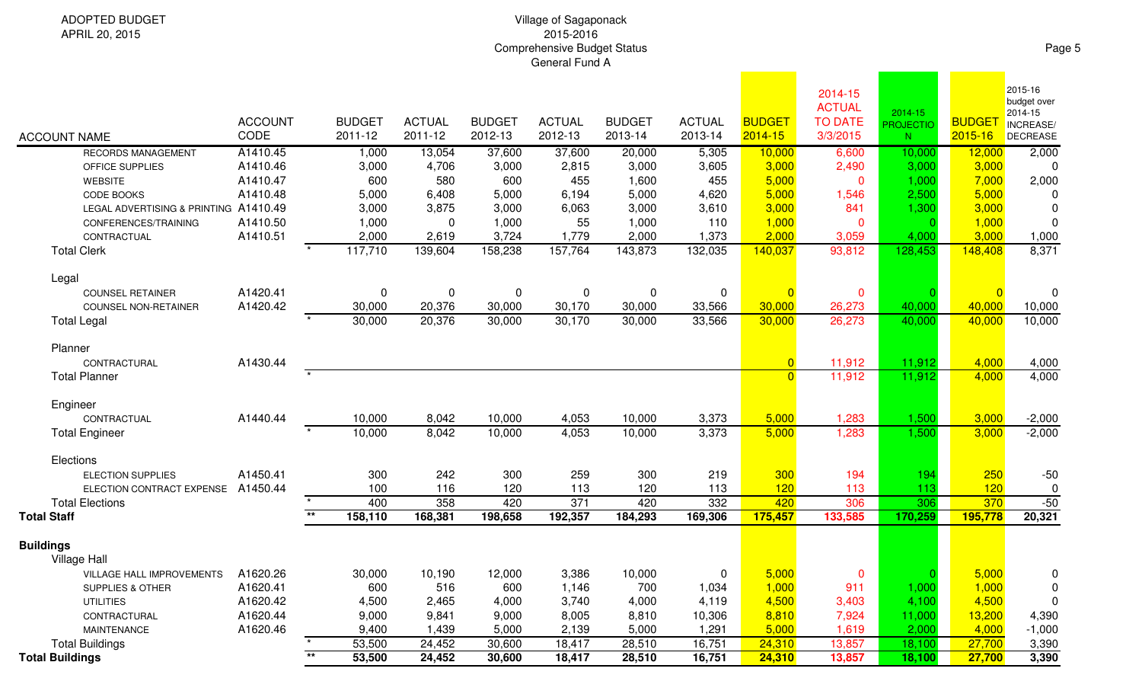# Village of Sagaponack 2015-2016Comprehensive Budget Status General Fund A

|                                          | <b>ACCOUNT</b><br>CODE                                                                                                                                                                                                                                                                                                                           |                                                                                                                                       |      | <b>ACTUAL</b><br>2011-12                                                                                                                                                                                                        | <b>BUDGET</b><br>2012-13                                                                  | <b>ACTUAL</b><br>2012-13                                                                                                  | <b>BUDGET</b><br>2013-14                                                                                                           | <b>ACTUAL</b><br>2013-14                                                                     | <b>BUDGET</b><br>2014-15                                                         | 2014-15<br><b>ACTUAL</b><br><b>TO DATE</b><br>3/3/2015 | 2014-15<br><b>PROJECTIO</b><br>$N_{\odot}$                                                                                                                                                                                                                                      | <b>BUDGE</b><br>2015-16                                           | 2015-16<br>budget over<br>2014-15<br>INCREASE/<br>DECREASE                                                 |
|------------------------------------------|--------------------------------------------------------------------------------------------------------------------------------------------------------------------------------------------------------------------------------------------------------------------------------------------------------------------------------------------------|---------------------------------------------------------------------------------------------------------------------------------------|------|---------------------------------------------------------------------------------------------------------------------------------------------------------------------------------------------------------------------------------|-------------------------------------------------------------------------------------------|---------------------------------------------------------------------------------------------------------------------------|------------------------------------------------------------------------------------------------------------------------------------|----------------------------------------------------------------------------------------------|----------------------------------------------------------------------------------|--------------------------------------------------------|---------------------------------------------------------------------------------------------------------------------------------------------------------------------------------------------------------------------------------------------------------------------------------|-------------------------------------------------------------------|------------------------------------------------------------------------------------------------------------|
|                                          | A1410.45                                                                                                                                                                                                                                                                                                                                         |                                                                                                                                       |      |                                                                                                                                                                                                                                 |                                                                                           | 37,600                                                                                                                    | 20,000                                                                                                                             | 5,305                                                                                        |                                                                                  | 6,600                                                  | 10,000                                                                                                                                                                                                                                                                          | 12,000                                                            | 2,000                                                                                                      |
|                                          | A1410.46                                                                                                                                                                                                                                                                                                                                         |                                                                                                                                       |      | 4,706                                                                                                                                                                                                                           | 3,000                                                                                     | 2,815                                                                                                                     | 3,000                                                                                                                              | 3,605                                                                                        |                                                                                  | 2,490                                                  | 3,000                                                                                                                                                                                                                                                                           | 3,000                                                             | $\Omega$                                                                                                   |
|                                          | A1410.47                                                                                                                                                                                                                                                                                                                                         |                                                                                                                                       | 600  | 580                                                                                                                                                                                                                             | 600                                                                                       | 455                                                                                                                       | 1,600                                                                                                                              | 455                                                                                          |                                                                                  | $\mathbf{0}$                                           | 1,000                                                                                                                                                                                                                                                                           | 7,000                                                             | 2,000                                                                                                      |
|                                          | A1410.48                                                                                                                                                                                                                                                                                                                                         |                                                                                                                                       |      | 6,408                                                                                                                                                                                                                           | 5,000                                                                                     | 6,194                                                                                                                     | 5,000                                                                                                                              | 4,620                                                                                        | 5,000                                                                            | 1,546                                                  | 2,500                                                                                                                                                                                                                                                                           | 5,000                                                             | 0                                                                                                          |
|                                          |                                                                                                                                                                                                                                                                                                                                                  |                                                                                                                                       |      | 3,875                                                                                                                                                                                                                           | 3,000                                                                                     | 6,063                                                                                                                     | 3,000                                                                                                                              | 3,610                                                                                        | 3,000                                                                            | 841                                                    | 1,300                                                                                                                                                                                                                                                                           | 3,000                                                             | 0                                                                                                          |
|                                          | A1410.50                                                                                                                                                                                                                                                                                                                                         |                                                                                                                                       |      | 0                                                                                                                                                                                                                               | 1,000                                                                                     | 55                                                                                                                        | 1,000                                                                                                                              | 110                                                                                          |                                                                                  | $\mathbf{0}$                                           | $\Omega$                                                                                                                                                                                                                                                                        | 1,000                                                             | 0                                                                                                          |
|                                          |                                                                                                                                                                                                                                                                                                                                                  |                                                                                                                                       |      |                                                                                                                                                                                                                                 |                                                                                           |                                                                                                                           |                                                                                                                                    |                                                                                              |                                                                                  |                                                        | 4,000                                                                                                                                                                                                                                                                           |                                                                   | 1,000                                                                                                      |
|                                          |                                                                                                                                                                                                                                                                                                                                                  |                                                                                                                                       |      | 139,604                                                                                                                                                                                                                         |                                                                                           |                                                                                                                           |                                                                                                                                    |                                                                                              | 140,037                                                                          |                                                        | 128,453                                                                                                                                                                                                                                                                         | 148,408                                                           | 8,371                                                                                                      |
|                                          |                                                                                                                                                                                                                                                                                                                                                  |                                                                                                                                       |      |                                                                                                                                                                                                                                 |                                                                                           |                                                                                                                           |                                                                                                                                    |                                                                                              |                                                                                  |                                                        |                                                                                                                                                                                                                                                                                 |                                                                   |                                                                                                            |
|                                          |                                                                                                                                                                                                                                                                                                                                                  |                                                                                                                                       |      |                                                                                                                                                                                                                                 |                                                                                           |                                                                                                                           |                                                                                                                                    |                                                                                              |                                                                                  |                                                        |                                                                                                                                                                                                                                                                                 |                                                                   | 0                                                                                                          |
|                                          |                                                                                                                                                                                                                                                                                                                                                  |                                                                                                                                       |      |                                                                                                                                                                                                                                 |                                                                                           |                                                                                                                           |                                                                                                                                    |                                                                                              |                                                                                  |                                                        |                                                                                                                                                                                                                                                                                 |                                                                   | 10,000                                                                                                     |
|                                          |                                                                                                                                                                                                                                                                                                                                                  |                                                                                                                                       |      |                                                                                                                                                                                                                                 |                                                                                           |                                                                                                                           |                                                                                                                                    |                                                                                              |                                                                                  |                                                        |                                                                                                                                                                                                                                                                                 |                                                                   | 10,000                                                                                                     |
|                                          |                                                                                                                                                                                                                                                                                                                                                  |                                                                                                                                       |      |                                                                                                                                                                                                                                 |                                                                                           |                                                                                                                           |                                                                                                                                    |                                                                                              |                                                                                  |                                                        |                                                                                                                                                                                                                                                                                 |                                                                   |                                                                                                            |
|                                          |                                                                                                                                                                                                                                                                                                                                                  |                                                                                                                                       |      |                                                                                                                                                                                                                                 |                                                                                           |                                                                                                                           |                                                                                                                                    |                                                                                              |                                                                                  |                                                        |                                                                                                                                                                                                                                                                                 |                                                                   | 4,000                                                                                                      |
|                                          |                                                                                                                                                                                                                                                                                                                                                  |                                                                                                                                       |      |                                                                                                                                                                                                                                 |                                                                                           |                                                                                                                           |                                                                                                                                    |                                                                                              |                                                                                  |                                                        |                                                                                                                                                                                                                                                                                 |                                                                   | 4,000                                                                                                      |
|                                          |                                                                                                                                                                                                                                                                                                                                                  |                                                                                                                                       |      |                                                                                                                                                                                                                                 |                                                                                           |                                                                                                                           |                                                                                                                                    |                                                                                              |                                                                                  |                                                        |                                                                                                                                                                                                                                                                                 |                                                                   |                                                                                                            |
|                                          |                                                                                                                                                                                                                                                                                                                                                  |                                                                                                                                       |      |                                                                                                                                                                                                                                 |                                                                                           |                                                                                                                           |                                                                                                                                    |                                                                                              |                                                                                  |                                                        |                                                                                                                                                                                                                                                                                 |                                                                   | $-2,000$                                                                                                   |
|                                          |                                                                                                                                                                                                                                                                                                                                                  |                                                                                                                                       |      |                                                                                                                                                                                                                                 |                                                                                           |                                                                                                                           |                                                                                                                                    |                                                                                              |                                                                                  |                                                        |                                                                                                                                                                                                                                                                                 |                                                                   | $-2,000$                                                                                                   |
|                                          |                                                                                                                                                                                                                                                                                                                                                  |                                                                                                                                       |      |                                                                                                                                                                                                                                 |                                                                                           |                                                                                                                           |                                                                                                                                    |                                                                                              |                                                                                  |                                                        |                                                                                                                                                                                                                                                                                 |                                                                   |                                                                                                            |
|                                          |                                                                                                                                                                                                                                                                                                                                                  |                                                                                                                                       |      |                                                                                                                                                                                                                                 |                                                                                           |                                                                                                                           |                                                                                                                                    |                                                                                              |                                                                                  |                                                        |                                                                                                                                                                                                                                                                                 |                                                                   | $-50$                                                                                                      |
|                                          |                                                                                                                                                                                                                                                                                                                                                  |                                                                                                                                       |      |                                                                                                                                                                                                                                 |                                                                                           |                                                                                                                           |                                                                                                                                    |                                                                                              |                                                                                  |                                                        |                                                                                                                                                                                                                                                                                 |                                                                   | 0                                                                                                          |
|                                          |                                                                                                                                                                                                                                                                                                                                                  |                                                                                                                                       |      |                                                                                                                                                                                                                                 |                                                                                           |                                                                                                                           |                                                                                                                                    |                                                                                              |                                                                                  |                                                        |                                                                                                                                                                                                                                                                                 | 370                                                               | $-50$                                                                                                      |
|                                          |                                                                                                                                                                                                                                                                                                                                                  | $*$                                                                                                                                   |      | 168,381                                                                                                                                                                                                                         | 198,658                                                                                   | 192,357                                                                                                                   | 184,293                                                                                                                            | 169,306                                                                                      | 175,457                                                                          | 133,585                                                | 170,259                                                                                                                                                                                                                                                                         | 195,778                                                           | 20,321                                                                                                     |
|                                          |                                                                                                                                                                                                                                                                                                                                                  |                                                                                                                                       |      |                                                                                                                                                                                                                                 |                                                                                           |                                                                                                                           |                                                                                                                                    |                                                                                              |                                                                                  |                                                        |                                                                                                                                                                                                                                                                                 |                                                                   |                                                                                                            |
|                                          |                                                                                                                                                                                                                                                                                                                                                  |                                                                                                                                       |      |                                                                                                                                                                                                                                 |                                                                                           |                                                                                                                           |                                                                                                                                    |                                                                                              |                                                                                  |                                                        |                                                                                                                                                                                                                                                                                 |                                                                   |                                                                                                            |
|                                          |                                                                                                                                                                                                                                                                                                                                                  |                                                                                                                                       |      |                                                                                                                                                                                                                                 |                                                                                           |                                                                                                                           |                                                                                                                                    | $\overline{0}$                                                                               |                                                                                  | $\mathbf{0}$                                           |                                                                                                                                                                                                                                                                                 |                                                                   |                                                                                                            |
|                                          | A1620.41                                                                                                                                                                                                                                                                                                                                         |                                                                                                                                       | 600  | 516                                                                                                                                                                                                                             | 600                                                                                       |                                                                                                                           | 700                                                                                                                                | 1,034                                                                                        |                                                                                  | 911                                                    | 1,000                                                                                                                                                                                                                                                                           | 1,000                                                             | 0                                                                                                          |
|                                          | A1620.42                                                                                                                                                                                                                                                                                                                                         |                                                                                                                                       |      | 2,465                                                                                                                                                                                                                           |                                                                                           |                                                                                                                           | 4,000                                                                                                                              | 4,119                                                                                        |                                                                                  | 3,403                                                  | 4,100                                                                                                                                                                                                                                                                           | 4,500                                                             | 0                                                                                                          |
|                                          | A1620.44                                                                                                                                                                                                                                                                                                                                         |                                                                                                                                       |      | 9,841                                                                                                                                                                                                                           | 9,000                                                                                     | 8,005                                                                                                                     | 8,810                                                                                                                              | 10,306                                                                                       |                                                                                  | 7,924                                                  | 11,000                                                                                                                                                                                                                                                                          | 13,200                                                            | 4,390                                                                                                      |
|                                          | A1620.46                                                                                                                                                                                                                                                                                                                                         |                                                                                                                                       |      | 1,439                                                                                                                                                                                                                           | 5,000                                                                                     | 2,139                                                                                                                     | 5,000                                                                                                                              | 1,291                                                                                        |                                                                                  | 1,619                                                  | 2,000                                                                                                                                                                                                                                                                           | 4,000                                                             | $-1,000$                                                                                                   |
|                                          |                                                                                                                                                                                                                                                                                                                                                  |                                                                                                                                       |      | 24,452                                                                                                                                                                                                                          | 30,600                                                                                    | 18,417                                                                                                                    | 28,510                                                                                                                             | 16,751                                                                                       |                                                                                  | 13,857                                                 | 18,100                                                                                                                                                                                                                                                                          | 27,700                                                            | 3,390                                                                                                      |
|                                          |                                                                                                                                                                                                                                                                                                                                                  |                                                                                                                                       |      | 24,452                                                                                                                                                                                                                          |                                                                                           |                                                                                                                           | 28,510                                                                                                                             | 16,751                                                                                       |                                                                                  | 13,857                                                 | 18,100                                                                                                                                                                                                                                                                          | 27,700                                                            | 3,390                                                                                                      |
| <b>WEBSITE</b><br><b>Total Buildings</b> | RECORDS MANAGEMENT<br>OFFICE SUPPLIES<br>CODE BOOKS<br>CONFERENCES/TRAINING<br>CONTRACTUAL<br><b>COUNSEL RETAINER</b><br><b>COUNSEL NON-RETAINER</b><br>CONTRACTURAL<br>CONTRACTUAL<br><b>ELECTION SUPPLIES</b><br>ELECTION CONTRACT EXPENSE<br>VILLAGE HALL IMPROVEMENTS<br>SUPPLIES & OTHER<br><b>UTILITIES</b><br>CONTRACTURAL<br>MAINTENANCE | LEGAL ADVERTISING & PRINTING A1410.49<br>A1410.51<br>A1420.41<br>A1420.42<br>A1430.44<br>A1440.44<br>A1450.41<br>A1450.44<br>A1620.26 | $**$ | <b>BUDGET</b><br>2011-12<br>1,000<br>3,000<br>5,000<br>3,000<br>1,000<br>2,000<br>117,710<br>0<br>30,000<br>30,000<br>10,000<br>10,000<br>300<br>100<br>400<br>158,110<br>30,000<br>4,500<br>9,000<br>9,400<br>53,500<br>53,500 | 13,054<br>2,619<br>0<br>20,376<br>20,376<br>8,042<br>8,042<br>242<br>116<br>358<br>10,190 | 37,600<br>3,724<br>158,238<br>0<br>30,000<br>30,000<br>10,000<br>10,000<br>300<br>120<br>420<br>12,000<br>4,000<br>30,600 | 1,779<br>157,764<br>0<br>30,170<br>30,170<br>4,053<br>4,053<br>259<br>113<br>$\overline{371}$<br>3,386<br>1,146<br>3,740<br>18,417 | 2,000<br>143,873<br>0<br>30,000<br>30,000<br>10,000<br>10,000<br>300<br>120<br>420<br>10,000 | 1,373<br>132,035<br>0<br>33,566<br>33,566<br>3,373<br>3,373<br>219<br>113<br>332 | 2,000<br>$\overline{0}$<br>5,000<br>300<br>120<br>420  | 10,000<br>3,000<br>5,000<br>1,000<br>3,059<br>93,812<br>$\mathbf{0}$<br>30,000<br>26,273<br>30,000<br>26,273<br>11,912<br>$\overline{0}$<br>$\Omega$<br>11,912<br>5,000<br>1,283<br>1,283<br>194<br>113<br>306<br>5,000<br>1,000<br>4,500<br>8,810<br>5,000<br>24,310<br>24,310 | 40,000<br>40,000<br>11,912<br>1,500<br>1,500<br>194<br>113<br>306 | 3,000<br>$\Omega$<br>40,000<br>40,000<br>4,000<br>11,912<br>4,000<br>3,000<br>3,000<br>250<br>120<br>5,000 |

Page 5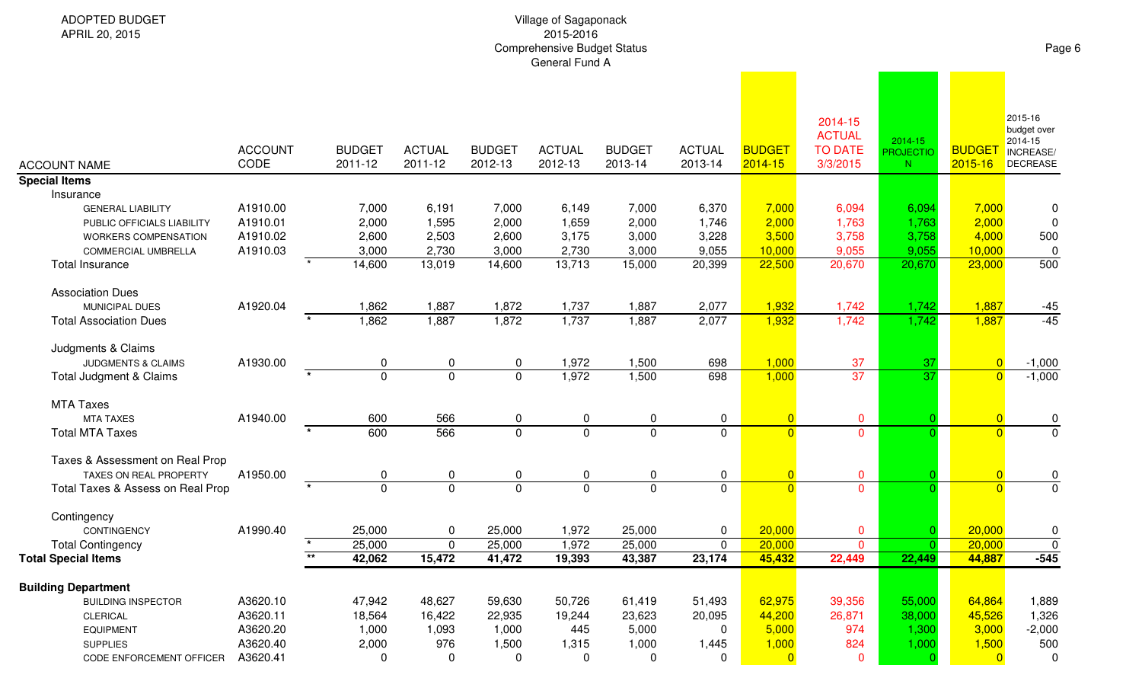| ADOPTED BUDGET<br>APRIL 20, 2015                                                            |                                  |                          |                          |                          | Village of Sagaponack<br>2015-2016<br><b>Comprehensive Budget Status</b><br>General Fund A |                          |                          |                                  |                                                        |                                          |                              | Page 6                                                            |
|---------------------------------------------------------------------------------------------|----------------------------------|--------------------------|--------------------------|--------------------------|--------------------------------------------------------------------------------------------|--------------------------|--------------------------|----------------------------------|--------------------------------------------------------|------------------------------------------|------------------------------|-------------------------------------------------------------------|
| <b>ACCOUNT NAME</b>                                                                         | <b>ACCOUNT</b><br>CODE           | <b>BUDGET</b><br>2011-12 | <b>ACTUAL</b><br>2011-12 | <b>BUDGET</b><br>2012-13 | <b>ACTUAL</b><br>2012-13                                                                   | <b>BUDGET</b><br>2013-14 | <b>ACTUAL</b><br>2013-14 | <b>BUDGET</b><br>2014-15         | 2014-15<br><b>ACTUAL</b><br><b>TO DATE</b><br>3/3/2015 | 2014-15<br><b>PROJECTIO</b><br>${\sf N}$ | <b>BUDGET</b><br>$2015 - 16$ | 2015-16<br>budget over<br>2014-15<br>INCREASE/<br><b>DECREASE</b> |
| <b>Special Items</b>                                                                        |                                  |                          |                          |                          |                                                                                            |                          |                          |                                  |                                                        |                                          |                              |                                                                   |
| Insurance<br><b>GENERAL LIABILITY</b><br>PUBLIC OFFICIALS LIABILITY<br>WORKERS COMPENSATION | A1910.00<br>A1910.01<br>A1910.02 | 7,000<br>2,000<br>2,600  | 6,191<br>1,595<br>2,503  | 7,000<br>2,000<br>2,600  | 6,149<br>1,659<br>3,175                                                                    | 7,000<br>2,000<br>3,000  | 6,370<br>1,746<br>3,228  | 7,000<br>2,000<br>3,500          | 6,094<br>1,763<br>3,758                                | 6,094<br>1,763<br>3,758                  | 7,000<br>2,000<br>4,000      | 0<br>0<br>500                                                     |
| COMMERCIAL UMBRELLA                                                                         | A1910.03                         | 3,000                    | 2,730                    | 3,000                    | 2,730                                                                                      | 3,000                    | 9,055                    | 10,000                           | 9,055                                                  | 9,055                                    | 10,000                       | 0                                                                 |
| <b>Total Insurance</b>                                                                      |                                  | 14,600                   | 13,019                   | 14,600                   | 13,713                                                                                     | 15,000                   | 20,399                   | 22,500                           | 20,670                                                 | 20,670                                   | 23,000                       | 500                                                               |
| <b>Association Dues</b>                                                                     |                                  |                          |                          |                          |                                                                                            |                          |                          |                                  |                                                        |                                          |                              |                                                                   |
| MUNICIPAL DUES                                                                              | A1920.04                         | 1,862                    | 1,887                    | 1,872                    | 1,737                                                                                      | 1,887                    | 2,077                    | 1,932                            | 1,742                                                  | 1,742                                    | 1,887                        | $-45$                                                             |
| <b>Total Association Dues</b>                                                               |                                  | 1,862                    | 1,887                    | 1,872                    | 1,737                                                                                      | 1,887                    | 2,077                    | 1,932                            | 1,742                                                  | 1,742                                    | 1,887                        | $-45$                                                             |
| Judgments & Claims<br><b>JUDGMENTS &amp; CLAIMS</b>                                         | A1930.00                         | 0                        | 0                        | 0                        | 1,972                                                                                      | 1,500                    | 698                      | 1,000                            | 37                                                     | 37                                       | $\overline{0}$               | $-1,000$                                                          |
| Total Judgment & Claims                                                                     |                                  | $\overline{0}$           | $\overline{0}$           | $\mathbf 0$              | 1,972                                                                                      | 1,500                    | 698                      | 1,000                            | 37                                                     | 37                                       | $\overline{0}$               | $-1,000$                                                          |
| <b>MTA Taxes</b>                                                                            |                                  |                          |                          |                          |                                                                                            |                          |                          |                                  |                                                        |                                          |                              |                                                                   |
| <b>MTA TAXES</b>                                                                            | A1940.00                         | 600                      | 566                      | 0                        | 0                                                                                          | 0                        | 0                        | $\overline{0}$                   | $\mathbf 0$                                            |                                          |                              | 0                                                                 |
| <b>Total MTA Taxes</b>                                                                      |                                  | 600                      | 566                      | $\overline{0}$           | $\overline{0}$                                                                             | $\overline{0}$           | $\mathbf 0$              | $\overline{0}$                   | $\overline{0}$                                         |                                          | $\Omega$                     | $\overline{0}$                                                    |
| Taxes & Assessment on Real Prop                                                             |                                  |                          |                          |                          |                                                                                            |                          |                          |                                  |                                                        |                                          |                              |                                                                   |
| TAXES ON REAL PROPERTY<br>Total Taxes & Assess on Real Prop                                 | A1950.00                         | 0<br>$\mathbf 0$         | 0<br>$\overline{0}$      | 0<br>$\mathbf 0$         | 0<br>$\overline{0}$                                                                        | 0<br>$\mathbf 0$         | 0<br>$\mathbf 0$         | $\overline{0}$<br>$\overline{0}$ | $\mathbf 0$<br>$\overline{0}$                          |                                          | $\Omega$                     | 0<br>$\overline{0}$                                               |
|                                                                                             |                                  |                          |                          |                          |                                                                                            |                          |                          |                                  |                                                        |                                          |                              |                                                                   |
| Contingency                                                                                 |                                  |                          |                          |                          |                                                                                            |                          |                          |                                  |                                                        |                                          |                              |                                                                   |
| CONTINGENCY                                                                                 | A1990.40                         | 25,000                   | 0                        | 25,000                   | 1,972                                                                                      | 25,000                   | 0                        | 20,000                           | $\mathbf 0$                                            | $\overline{0}$                           | 20,000                       | 0                                                                 |
| <b>Total Contingency</b>                                                                    |                                  | 25,000<br>$\star\star$   | $\mathbf 0$              | 25,000                   | 1,972                                                                                      | 25,000                   | 0                        | 20,000                           | $\overline{0}$                                         | $\Omega$                                 | 20,000                       | $\pmb{0}$                                                         |
| <b>Total Special Items</b>                                                                  |                                  | 42,062                   | 15,472                   | 41,472                   | 19,393                                                                                     | 43,387                   | 23,174                   | 45,432                           | 22,449                                                 | 22,449                                   | 44,887                       | $-545$                                                            |
| <b>Building Department</b>                                                                  |                                  |                          |                          |                          |                                                                                            |                          |                          |                                  |                                                        |                                          |                              |                                                                   |
| <b>BUILDING INSPECTOR</b>                                                                   | A3620.10                         | 47,942                   | 48,627                   | 59,630                   | 50,726                                                                                     | 61,419                   | 51,493                   | 62,975                           | 39,356                                                 | 55,000                                   | 64,864                       | 1,889                                                             |
| CLERICAL                                                                                    | A3620.11                         | 18,564                   | 16,422                   | 22,935                   | 19,244                                                                                     | 23,623                   | 20,095                   | 44,200                           | 26,871                                                 | 38,000                                   | 45,526                       | 1,326                                                             |
| <b>EQUIPMENT</b>                                                                            | A3620.20                         | 1,000                    | 1,093                    | 1,000                    | 445                                                                                        | 5,000                    | 0                        | 5,000                            | 974                                                    | 1,300                                    | 3,000                        | $-2,000$                                                          |
| <b>SUPPLIES</b>                                                                             | A3620.40                         | 2,000                    | 976                      | 1,500                    | 1,315                                                                                      | 1,000                    | 1,445                    | 1,000                            | 824                                                    | 1,000                                    | 1,500                        | 500                                                               |
| CODE ENFORCEMENT OFFICER                                                                    | A3620.41                         | 0                        | 0                        | 0                        | 0                                                                                          | 0                        | 0                        | $\overline{0}$                   | $\mathbf 0$                                            | -0                                       | $\overline{0}$               | 0                                                                 |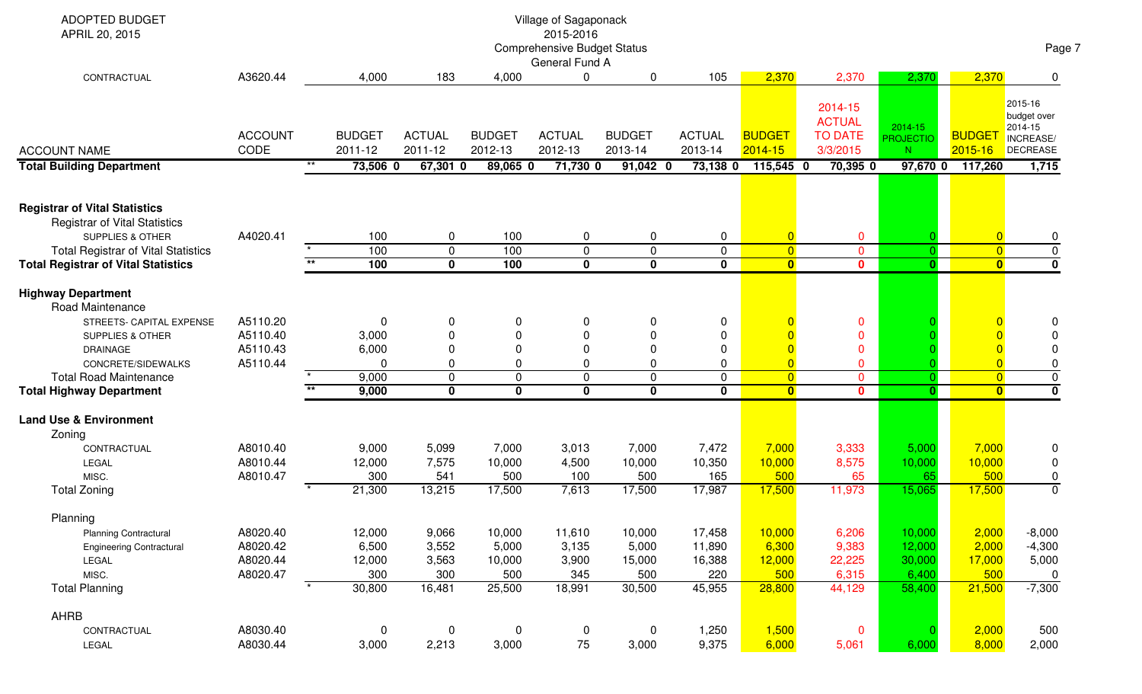| ADOPTED BUDGET<br>APRIL 20, 2015                                                                                                                                                                                                                                     |                                              |                |                                            |                                             |                                            | Village of Sagaponack<br>2015-2016<br><b>Comprehensive Budget Status</b><br>General Fund A |                                                          |                                                |                                               |                                                                                              |                                               |                                            | Page 7                                                             |
|----------------------------------------------------------------------------------------------------------------------------------------------------------------------------------------------------------------------------------------------------------------------|----------------------------------------------|----------------|--------------------------------------------|---------------------------------------------|--------------------------------------------|--------------------------------------------------------------------------------------------|----------------------------------------------------------|------------------------------------------------|-----------------------------------------------|----------------------------------------------------------------------------------------------|-----------------------------------------------|--------------------------------------------|--------------------------------------------------------------------|
| CONTRACTUAL                                                                                                                                                                                                                                                          | A3620.44                                     |                | 4,000                                      | 183                                         | 4,000                                      | 0                                                                                          | 0                                                        | 105                                            | 2,370                                         | 2,370                                                                                        | 2,370                                         | 2,370                                      | $\Omega$                                                           |
| <b>ACCOUNT NAME</b>                                                                                                                                                                                                                                                  | <b>ACCOUNT</b><br>CODE                       |                | <b>BUDGET</b><br>2011-12                   | <b>ACTUAL</b><br>2011-12                    | <b>BUDGET</b><br>2012-13                   | <b>ACTUAL</b><br>2012-13                                                                   | <b>BUDGET</b><br>2013-14                                 | <b>ACTUAL</b><br>2013-14                       | <b>BUDGET</b><br>$2014 - 15$                  | 2014-15<br><b>ACTUAL</b><br><b>TO DATE</b><br>3/3/2015                                       | 2014-15<br><b>PROJECTIO</b><br>N              | <b>BUDGE</b><br>$2015 - 16$                | 2015-16<br>budget over<br>2014-15<br>INCREASE/<br>DECREASE         |
| <b>Total Building Department</b>                                                                                                                                                                                                                                     |                                              | $***$          | 73,506 0                                   | $67,301$ 0                                  | 89,065 0                                   | 71,730 0                                                                                   | $91,042$ 0                                               | 73,138 0                                       | 115,545 0                                     | $70,395$ 0                                                                                   | 97,670 0                                      | 117,260                                    | 1,715                                                              |
| <b>Registrar of Vital Statistics</b><br><b>Registrar of Vital Statistics</b><br><b>SUPPLIES &amp; OTHER</b><br><b>Total Registrar of Vital Statistics</b><br><b>Total Registrar of Vital Statistics</b>                                                              | A4020.41                                     | $\overline{1}$ | 100<br>100<br>100                          | 0<br>$\mathbf 0$<br>$\overline{\mathbf{0}}$ | 100<br>100<br>100                          | 0<br>$\mathbf 0$<br>$\mathbf 0$                                                            | $\mathbf 0$<br>$\mathbf 0$<br>$\overline{\mathbf{0}}$    | $\mathbf 0$<br>$\mathbf 0$<br>$\mathbf 0$      | $\overline{0}$<br>$\overline{0}$<br>$\bullet$ | $\mathbf 0$<br>$\overline{0}$<br>$\mathbf{0}$                                                | $\overline{0}$<br>$\mathbf{0}$                | $\Omega$<br>$\overline{0}$<br>$\mathbf{0}$ | $\overline{0}$<br>$\pmb{0}$<br>$\overline{\mathbf{0}}$             |
|                                                                                                                                                                                                                                                                      |                                              |                |                                            |                                             |                                            |                                                                                            |                                                          |                                                |                                               |                                                                                              |                                               |                                            |                                                                    |
| <b>Highway Department</b><br>Road Maintenance<br>STREETS- CAPITAL EXPENSE<br><b>SUPPLIES &amp; OTHER</b><br><b>DRAINAGE</b><br>CONCRETE/SIDEWALKS<br><b>Total Road Maintenance</b><br><b>Total Highway Department</b><br><b>Land Use &amp; Environment</b><br>Zoning | A5110.20<br>A5110.40<br>A5110.43<br>A5110.44 |                | 0<br>3,000<br>6,000<br>0<br>9,000<br>9,000 | 0<br>0<br>$\Omega$<br>0<br>0<br>$\mathbf 0$ | 0<br>0<br>0<br>0                           | 0<br>$\Omega$<br>$\Omega$<br>0<br>$\Omega$<br>0                                            | 0<br>$\mathbf 0$<br>0<br>0<br>$\mathbf 0$<br>$\mathbf 0$ | 0<br>0<br>0<br>0<br>$\mathbf 0$<br>$\mathbf 0$ | $\overline{0}$<br>$\overline{0}$<br>$\bullet$ | $\mathbf{0}$<br>$\mathbf{0}$<br>$\mathbf{0}$<br>$\mathbf 0$<br>$\overline{0}$<br>$\mathbf 0$ | $\mathbf{0}$                                  | $\Omega$<br>$\overline{\mathbf{0}}$        | 0<br>$\Omega$<br>0<br>$\mathbf 0$<br>$\overline{0}$<br>$\mathbf 0$ |
| CONTRACTUAL<br>LEGAL                                                                                                                                                                                                                                                 | A8010.40<br>A8010.44                         |                | 9,000<br>12,000                            | 5,099<br>7,575                              | 7,000<br>10,000                            | 3,013<br>4,500                                                                             | 7,000<br>10,000                                          | 7,472<br>10,350                                | 7,000<br>10,000                               | 3,333<br>8,575                                                                               | 5,000<br>10,000                               | 7,000<br>10,000                            | 0<br>0                                                             |
| MISC.<br><b>Total Zoning</b>                                                                                                                                                                                                                                         | A8010.47                                     |                | 300<br>21,300                              | 541<br>13,215                               | 500<br>17,500                              | 100<br>7,613                                                                               | 500<br>17,500                                            | 165<br>17,987                                  | 500<br>17,500                                 | 65<br>11,973                                                                                 | 65<br>15,065                                  | 500<br>17,500                              | $\mathbf 0$<br>$\overline{0}$                                      |
| Planning<br><b>Planning Contractural</b><br><b>Engineering Contractural</b><br>LEGAL<br>MISC.<br><b>Total Planning</b>                                                                                                                                               | A8020.40<br>A8020.42<br>A8020.44<br>A8020.47 |                | 12,000<br>6,500<br>12,000<br>300<br>30,800 | 9,066<br>3,552<br>3,563<br>300<br>16,481    | 10,000<br>5,000<br>10,000<br>500<br>25,500 | 11,610<br>3,135<br>3,900<br>345<br>18,991                                                  | 10,000<br>5,000<br>15,000<br>500<br>30,500               | 17,458<br>11,890<br>16,388<br>220<br>45,955    | 10,000<br>6,300<br>12,000<br>500<br>28,800    | 6,206<br>9,383<br>22,225<br>6,315<br>44,129                                                  | 10,000<br>12,000<br>30,000<br>6,400<br>58,400 | 2,000<br>2,000<br>17,000<br>500<br>21,500  | $-8,000$<br>$-4,300$<br>5,000<br>0<br>$-7,300$                     |
| <b>AHRB</b>                                                                                                                                                                                                                                                          |                                              |                |                                            |                                             |                                            |                                                                                            |                                                          |                                                |                                               |                                                                                              |                                               |                                            |                                                                    |
| CONTRACTUAL<br>LEGAL                                                                                                                                                                                                                                                 | A8030.40<br>A8030.44                         |                | 0<br>3,000                                 | $\mathbf 0$<br>2,213                        | 0<br>3,000                                 | $\mathbf 0$<br>$75\,$                                                                      | $\mathbf 0$<br>3,000                                     | 1,250<br>9,375                                 | 1,500<br>6,000                                | $\bf{0}$<br>5,061                                                                            | 6,000                                         | 2,000<br>8,000                             | 500<br>2,000                                                       |